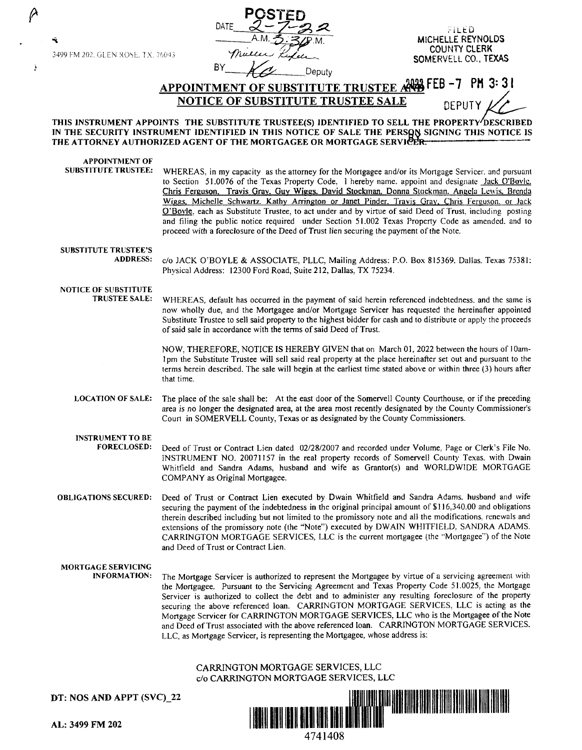3499 FM 202. GLEN ROSE. T.X. 76043

- 5



FILED<br>MICHELLE REYNOLDS COUNTY CLERK SOMERVELL CO., TEXAS

BY *AC* Deputy

APPOINTMENT OF SUBSTITUTE TRUSTEE AND FEB-7 PM 3:31 **NOTICE OF SUBSTITUTE TRUSTEE SALE PREPRIT** 

THIS INSTRUMENT APPOINTS THE SUBSTITUTE TRUSTEE(S) IDENTIFIED TO SELL THE PROPERTY **DESCRIBED** IN THE SECURITY INSTRUMENT IDENTIFIED IN THIS NOTICE OF SALE THE PERSON SIGNING THIS NOTICE IS THE ATTORNEY AUTHORIZED AGENT OF THE MORTGAGEE OR MORTGAGE SERVICER.

**APPOINTMENT OF SUBSTITUTE TRUSTEE:** WHEREAS, in my capacity as the attorney for the Mortgagee and/or its Mortgage Servicer. and pursuant to Section 51.0076 of the Texas Property Code, 1 hereby name. appoint and designate lack O'Bovle. Chris Ferguson, Travis Gray, Guy Wiggs, David Stockman. Donna Stockman. Angela Lewis. Brenda Wiggs. Michelle Schwartz\_ Kathy Arrington or Janet Pinder. Travis Gray. Chris Ferguson. or Jack O'Boyle, each as Substitute Trustee, to act under and by virtue of said Deed of Trust, including posting and filing the public notice required under Section 51.002 Texas Property Code as amended. and to proceed with a foreclosure of the Deed of Trust lien securing the payment of the Note. SUBSTITUTE TRUSTEE'S<br>ADDRESS:

c/o JACK O'BOYLE & ASSOCIATE, PLLC, Mailing Address: P.O. Box 815369. Dallas. Texas 75381: Physical Address: 12300 Ford Road, Suite 212, Dallas, TX 75234.

# NOTICE OF SUBSTITUTE<br>TRUSTEE SALE:

WHEREAS, default has occurred in the payment of said herein referenced indebtedness, and the same is now wholly due, and the Mortgagee and/or Mortgage Servicer has requested the hereinafter appointed Substitute Trustee to sell said property to the highest bidder for cash and to distribute or apply the proceeds of said sale in accordance with the terms of said Deed of Trust.

NOW, THEREFORE, NOTICE IS HEREBY GIVEN that on March 01, 2022 between the hours of 10am-I pm the Substitute Trustee will sell said real property at the place hereinafter set out and pursuant to the terms herein described. The sale will begin at the earliest time stated above or within three (3) hours after that time.

LOCATION OF SALE: The place of the sale shall be: At the east door of the Somervell County Courthouse, or if the preceding area is no longer the designated area, at the area most recently designated by the County Commissioner's Court in SOMERVELL County, Texas or as designated by the County Commissioners.

# **INSTRUMENT TO BE**

- **FORECLOSED:** Deed of Trust or Contract Lien dated 02/28/2007 and recorded under Volume, Page or Clerk's File No. INSTRUMENT NO. 20071157 in the real property records of Somervell County Texas. with Dwain Whitfield and Sandra Adams, husband and wife as Grantor(s) and WORLDWJDE MORTGAGE COMPANY as Original Mortgagee.
- **OBLIGATIONS SECURED:** Deed of Trust or Contract Lien executed by Dwain Whitfield and Sandra Adams. husband and wife securing the payment of the indebtedness **in** the original principal amount of \$116,340.00 and obligations therein described including but not limited to the promissory note and all the modifications, renewals and extensions of the promissory note (the "Note") executed by DWAIN WHITFIELD, SANDRA ADAMS. CARRINGTON MORTGAGE SERVICES, LLC is the current mortgagee (the ··Mortgagee"') of the Note and Deed of Trust or Contract Lien.

**MORTGAGE SERVICING** 

The Mortgage Servicer is authorized to represent the Mortgagee by virtue of a servicing agreement with the Mortgagee. Pursuant to the Servicing Agreement and Texas Property Code 51.0025, the Mortgage Servicer is authorized to collect the debt and to administer any resulting foreclosure of the property securing the above referenced loan. CARRINGTON MORTGAGE SERVICES. LLC is acting as the Mortgage Servicer for CARRINGTON MORTGAGE SERVICES, LLC who is the Mortgagee of the Note and Deed of Trust associated with the above referenced loan. CARRINGTON MORTGAGE SERVICES. LLC, as Mortgage Servicer, is representing the Mortgagee, whose address is:

### CARRINGTON MORTGAGE SERVICES, LLC c/o CARRINGTON MORTGAGE SERVICES, LLC

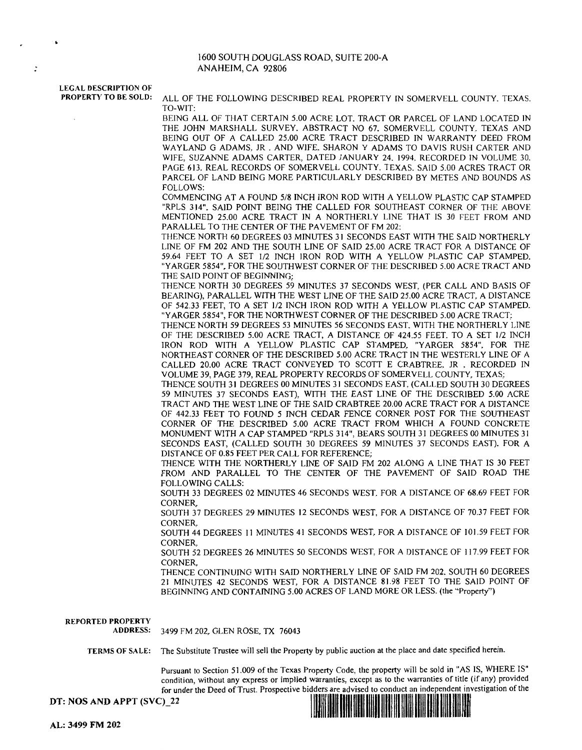#### 1600 SOUTH DOUGLASS ROAD, SUITE 200-A ANAHEIM, CA 92806

LEGAL DESCRIPTION OF<br>PROPERTY TO BE SOLD:

 $\cdot$ 

ALL OF THE FOLLOWING DESCRIBED REAL PROPERTY IN SOMERVELL COUNTY. TEXAS. TO-WIT:

BEING ALL OF THAT CERTAIN 5.00 ACRE LOT. TRACT OR PARCEL OF LAND LOCATED IN THE JOHN MARSHALL SURVEY. ABSTRACT NO 67. SOMERVELL COUNTY. TEXAS AND BEING OUT OF A CALLED 25.00 ACRE TRACT DESCRIBED IN WARRANTY DEED FROM WAYLAND G ADAMS. JR. AND WIFE. SHARON Y ADAMS TO DAVIS RUSH CARTER AND WIFE, SUZANNE ADAMS CARTER, DATED JANUARY 24, 1994. RECORDED IN VOLUME 30. PAGE 613. REAL RECORDS OF SOMERVELL COUNTY. TEXAS. SAID 5.00 ACRES TRACT OR PARCEL OF LAND BEING MORE PARTICULARLY DESCRIBED BY METES AND BOUNDS AS FOLLOWS:

COMMENCING AT A FOUND 5/8 INCH IRON ROD WITH A YELLOW PLASTIC CAP STAMPED "RPLS 314". SAID POINT BEING THE CALLED FOR SOUTHEAST CORNER OF THE ABOVE MENTIONED 25.00 ACRE TRACT IN A NORTHERLY LINE THAT JS 30 FEET FROM AND PARALLEL TO THE CENTER OF THE PAVEMENT OF FM 202:

THENCE NORTH 60 DEGREES 03 MINUTES 31 SECONDS EAST WITH THE SAID NORTHERLY LINE OF FM 202 AND THE SOUTH LINE OF SAID 25.00 ACRE TRACT FOR A DISTANCE OF 59.64 FEET TO A SET 1/2 INCH IRON ROD WITH A YELLOW PLASTIC CAP STAMPED. "YARGER 5854", FOR THE SOUTHWEST CORNER OF THE DESCRIBED 5.00 ACRE TRACT AND THE SAID POINT OF BEGINNING;

THENCE NORTH 30 DEGREES 59 MINUTES 37 SECONDS WEST, (PER CALL AND BASIS OF BEARING), PARALLEL WITH THE WEST LINE OF THE SAID 25.00 ACRE TRACT, A DISTANCE OF 542.33 FEET, TO A SET 1/2 INCH IRON ROD WITH A YELLOW PLASTIC CAP STAMPED. "YARGER 5854", FOR THE NORTHWEST CORNER OF THE DESCRIBED 5.00 ACRE TRACT.:

THENCE NORTH 59 DEGREES 53 MINUTES 56 SECONDS EAST. WITH THE NORTHERLY LINE OF THE DESCRIBED 5.00 ACRE TRACT, A DISTANCE OF 424.55 FEET. TO A SET 1/2 INCH IRON ROD WITH A YELLOW PLASTIC CAP STAMPED, "YARGER 5854", FOR THE NORTHEAST CORNER OF THE DESCRIBED 5.00 ACRE TRACT IN THE WESTERLY LINE OF A CALLED 20.00 ACRE TRACT CONVEYED TO SCOTT E CRABTREE. JR . RECORDED IN VOLUME 39, PAGE 379, REAL PROPERTY RECORDS OF SOMERVELL COUNTY, TEXAS;

THENCE SOUTH 31 DEGREES 00 MINUTES 3 I SECONDS EAST, (CALLED SOUTH 30 DEGREES 59 MINUTES 37 SECONDS EAST), WITH THE EAST LINE OF THE DESCRIBED 5.00 ACRE TRACT AND THE WEST LINE OF THE SAID CRABTREE 20.00 ACRE TRACT FOR A DISTANCE OF 442.33 FEET TO FOUND *5* INCH CEDAR FENCE CORNER POST FOR THE SOUTHEAST CORNER OF THE DESCRIBED 5.00 ACRE TRACT FROM WHICH A FOUND CONCRETE MONUMENT WITH A CAP STAMPED "RPLS 314", BEARS SOUTH 31 DEGREES 00 MINUTES 31 SECONDS EAST, (CALLED SOUTH 30 DEGREES 59 MINUTES 37 SECONDS EAST). FOR A DISTANCE OF 0.85 FEET PER CALL FOR REFERENCE;

THENCE WITH THE NORTHERLY LINE OF SAID FM 202 ALONG A LINE THAT IS 30 FEET FROM AND PARALLEL TO THE CENTER OF THE PAVEMENT OF SAID ROAD THE FOLLOWING CALLS:

SOUTH 33 DEGREES 02 MINUTES 46 SECONDS WEST. FOR A DISTANCE OF 68.69 FEET FOR CORNER,

SOUTH 37 DEGREES 29 MINUTES 12 SECONDS WEST, FOR A DISTANCE OF 70.37 FEET FOR CORNER,

SOUTH 44 DEGREES 11 MINUTES 41 SECONDS WEST, FOR A DISTANCE OF 101.59 FEET FOR CORNER,

SOUTH 52 DEGREES 26 MINUTES 50 SECONDS WEST, FOR A DISTANCE OF 117.99 FEET FOR CORNER,

THENCE CONTINUING WITH SAID NORTHERLY LINE OF SAID FM 202. SOUTH 60 DEGREES 21 MINUTES 42 SECONDS WEST, FOR A DISTANCE 81.98 FEET TO THE SAID POINT OF BEGINNING AND CONTAINING 5.00 ACRES OF LAND MORE OR LESS. (the "Property")

**REPORTED PROPERTY**  ADDRESS: 3499 FM 202, GLEN ROSE, TX 76043 **TERMS OF SALE:** The Substitute Trustee will sell the Property by public auction at the place and date specified herein.

Pursuant to Section 51.009 of the Texas Property Code, the property will be sold in "AS IS, WHERE JS" condition, without any express or implied warranties, except as to the warranties of title (if any) provided

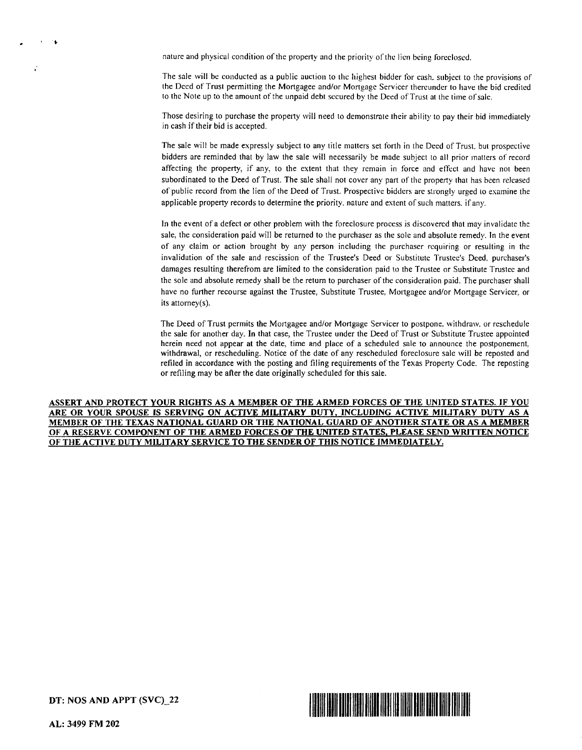nature and physical condition of the property and the priority of the lien being foreclosed.

The sale will be conducted as a public auction to the highest bidder for cash. subject to the provisions of the Deed of Trust permitting the Mortgagee and/or Mortgage Servicer thereunder to have the bid credited to the Note up to the amount of the unpaid debt secured by the Deed of Trust at the time of sale.

Those desiring to purchase the property will need to demonstrate their ability to pay their bid immediately in cash if their bid is accepted.

The sale will be made expressly subject to any title matters set forth in the Deed of Trust, but prospective bidders are reminded that by law the sale will necessarily be made subject to all prior matters of record affecting the property, if any, to the extent that they remain in force and effect and have not been subordinated to the Deed of Trust. The sale shall not cover any part of the property that has been released of public record from the lien of the Deed of Trust. Prospective bidders are strongly urged lo examine the applicable property records to determine the priority. nature and extent of such matters. if any.

In the event of a defect or other problem with the foreclosure process is discovered that may invalidate the sale, the consideration paid will be returned to the purchaser as the sole and absolute remedy. In the event of any claim or action brought by any person including the purchaser requiring or resulting in the invalidation of the sale and rescission of the Trustee's Deed or Substitute Trustee's Deed, purchaser's damages resulting therefrom are limited to the consideration paid to the Trustee or Substitute Trustee and the sole and absolute remedy shall be the return to purchaser of the consideration paid. The purchaser shall have no further recourse against the Trustee, Substitute Trustee, Mortgagee and/or Mortgage Servicer, or its attomey(s).

The Deed of Trust permits the Mortgagee and/or Mortgage Servicer to postpone. withdraw. or reschedule the sale for another day. **In** that case, the Trustee under the Deed of Trust or Substitute Trustee appointed herein need not appear at the date, time and place of a scheduled sale to announce the postponement withdrawal, or rescheduling. Notice of the date of any rescheduled foreclosure sale will be reposted and refiled in accordance with the posting and filing requirements of the Texas Property Code. The reposting or refiling may be after the date originally scheduled for this sale.

ASSERT AND PROTECT YOUR RIGHTS AS A MEMBER OF THE ARMED FORCES OF THE UNITED STATES. IF YOU ARE OR YOUR SPOUSE IS SERVING ON ACTIVE MILITARY DUTY, INCLUDING ACTIVE MILITARY DUTY AS A **MEMBER OF THE TEXAS NATIONAL GUARD OR THE NATIONAL GUARD OF ANOTHER STATE OR AS A MEMBER OF A RESERVE COMPONENT OF THE ARMED FORCES OF THE UNITED STATES. PLEASE SEND WRITTEN NOTICE OF THE ACTIVE DUTY MILITARY SERVICE TO THE SENDER OF THIS NOTICE IMMEDIATELY.** 



**DT: NOS AND APPT (SVC)\_22**